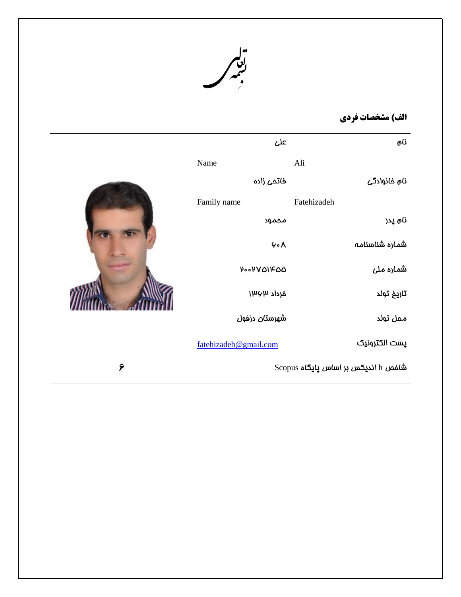

## **الف( مشخصات فزدی**

|   | على                         | نام                                 |
|---|-----------------------------|-------------------------------------|
|   | Name                        | Ali                                 |
|   | فاتمى زاده                  | نام خانوادگی                        |
|   | Family name                 | Fatehizadeh                         |
|   | مممود                       | نام پدر                             |
|   | 4.4                         | شماره شناسنامه                      |
|   | $P \circ P V Q$ $P \circ Q$ | ش <i>م</i> اره مل <i>ی</i>          |
|   | فرداد ۱۳۶۳                  | تاريغ تولد                          |
|   | شهرستان دزفول               | ممل تولد                            |
|   | fatehizadeh@gmail.com       | يست الكترونيك                       |
| ٦ |                             | Scopus شافص h اندیکس بر اساس پایگاه |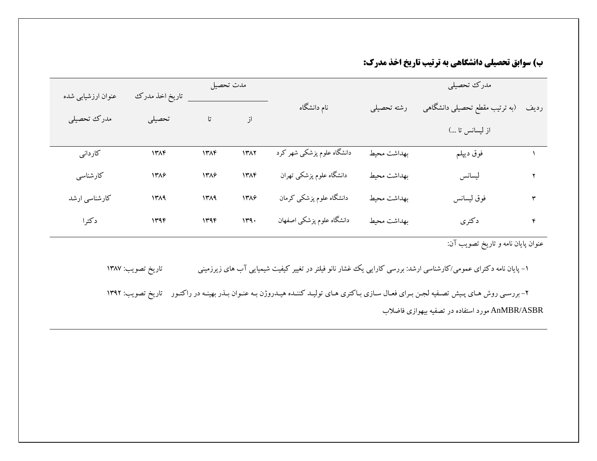**ب) سوابق تحصيلي دانشگاهي به ترتيب تاريخ اخذ مدرك:** 

|                    |                   | مدت تحصيل |      |                            |             | مدرك تحصيلي                                                                                                                 |      |
|--------------------|-------------------|-----------|------|----------------------------|-------------|-----------------------------------------------------------------------------------------------------------------------------|------|
| عنوان ارزشیابی شده | تاريخ اخذ مدرك    |           |      | نام دانشگاه                | رشته تحصيلي | (به ترتیب مقطع تحصیلی دانشگاهی                                                                                              | رديف |
| مدرك تحصيلي        | تحصيلى            | تا        | از   |                            |             | از لیسانس تا )                                                                                                              |      |
| کاردانی            | 14A               | ۱۳۸۴      | 1٣٨٢ | دانشگاه علوم پزشکی شهر کرد | بهداشت محيط | فوق ديپلم                                                                                                                   |      |
| كارشناسى           | 1388              | 1388      | 1٣٨۴ | دانشگاه علوم پزشکی تهران   | بهداشت محيط | ليسانس                                                                                                                      |      |
| کارشناسی ارشد      | 1419              | 1419      | 1318 | دانشگاه علوم پزشکی کرمان   | بهداشت محيط | فوق ليسانس                                                                                                                  | ٣    |
| دكترا              | 1496              | 1446      | 149. | دانشگاه علوم پزشکی اصفهان  | بهداشت محيط | دكترى                                                                                                                       | ۴    |
|                    |                   |           |      |                            |             | عنوان پایان نامه و تاریخ تصویب آن:                                                                                          |      |
|                    | تاريخ تصويب: ١٣٨٧ |           |      |                            |             | ۱– پایان نامه دکترای عمومی/کارشناسی ارشد: بررسی کارایی یک غشار نانو فیلتر در تغییر کیفیت شیمیایی آب های زیرزمینی            |      |
|                    | تاريخ تصويب: ١٣٩٢ |           |      |                            |             | ۲- بررسـي روش هـاي پـيش تصـفيه لجـن بـراي فعـال سـازي بـاكتري هـاي توليـد كننـده هيـدروژن بـه عنـوان بـذر بهينـه در راكتـور |      |
|                    |                   |           |      |                            |             | AnMBR/ASBR مورد استفاده در تصفیه بیهوازی فاضلاب                                                                             |      |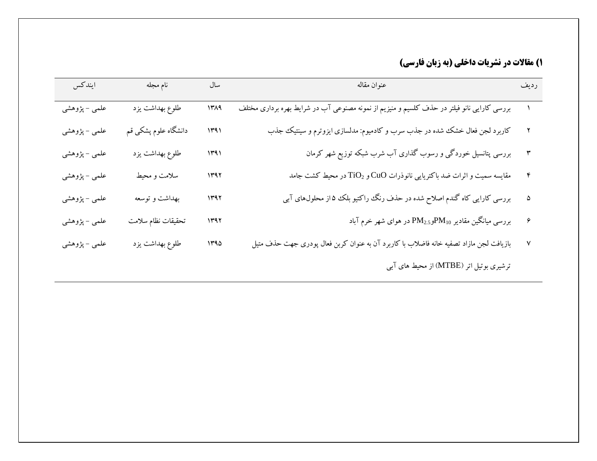**1) مقالات در نشريات داخلي (به زبان فارسي)** 

| ايندكس        | نام مجله             | سال  | عنوان مقاله                                                                                 | رديف |
|---------------|----------------------|------|---------------------------------------------------------------------------------------------|------|
| علمی – پژوهشی | طلوع بهداشت يزد      | 1319 | بررسی کارایی نانو فیلتر در حذف کلسیم و منیزیم از نمونه مصنوعی آب در شرایط بهره برداری مختلف |      |
| علمی – پژوهشی | دانشگاه علوم پشکی قم | 1491 | کاربرد لجن فعال خشک شده در جذب سرب و کادمیوم: مدلسازی ایزوترم و سینتیک جذب                  |      |
| علمی – پژوهشی | طلوع بهداشت يزد      | ۱۳۹۱ | بررسی پتانسیل خوردگی و رسوب گذاری آب شرب شبکه توزیع شهر کرمان                               |      |
| علمی – پژوهشی | سلامت و محیط         | ۱۳۹۲ | مقایسه سمیت و اثرات ضد باکتریایی نانوذرات CuO و TiO <sub>2</sub> در محیط کشت جامد           |      |
| علمی – پژوهشی | بهداشت و توسعه       | ۱۳۹۲ | بررسی کارایی کاه گندم اصلاح شده در حذف رنگ راکتیو بلک ۵۵از محلولهای آبی                     | ۵    |
| علمی – پژوهشی | تحقيقات نظام سلامت   | ۱۳۹۲ | بررسی میانگین مقادیر PM <sub>2.5</sub> وPM <sub>10</sub> در هوای شهر خرم آباد               | ۶    |
| علمی – پژوهشی | طلوع بهداشت يزد      | ۱۳۹۵ | بازیافت لجن مازاد تصفیه خانه فاضلاب با کاربرد آن به عنوان کربن فعال پودری جهت حذف متیل      | ٧    |
|               |                      |      | ترشیری بوتیل اتر (MTBE) از محیط های آبی                                                     |      |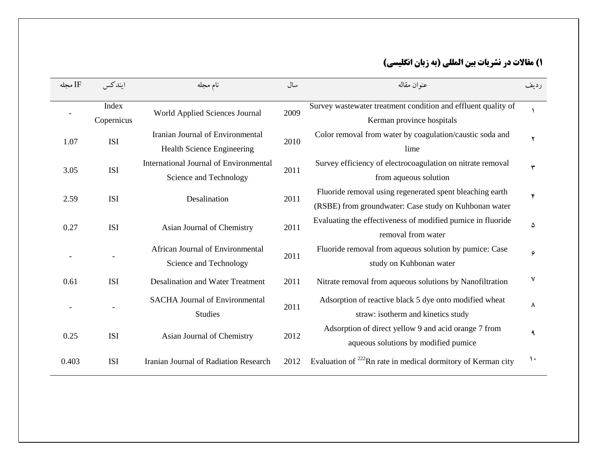## **1( مقاالت در وشزيات تيه المللي )تٍ ستان اوگليسي(**

| IF مجله | ابندكس              | نام مجله                                                         | سال  | عنوان مقاله                                                                                                       | رديف               |
|---------|---------------------|------------------------------------------------------------------|------|-------------------------------------------------------------------------------------------------------------------|--------------------|
|         | Index<br>Copernicus | World Applied Sciences Journal                                   | 2009 | Survey wastewater treatment condition and effluent quality of<br>Kerman province hospitals                        |                    |
| 1.07    | <b>ISI</b>          | Iranian Journal of Environmental<br>Health Science Engineering   | 2010 | Color removal from water by coagulation/caustic soda and<br>lime                                                  | ۲                  |
| 3.05    | <b>ISI</b>          | International Journal of Environmental<br>Science and Technology | 2011 | Survey efficiency of electrocoagulation on nitrate removal<br>from aqueous solution                               | ٣                  |
| 2.59    | <b>ISI</b>          | Desalination                                                     | 2011 | Fluoride removal using regenerated spent bleaching earth<br>(RSBE) from groundwater: Case study on Kuhbonan water | $\mathbf{\hat{r}}$ |
| 0.27    | <b>ISI</b>          | Asian Journal of Chemistry                                       | 2011 | Evaluating the effectiveness of modified pumice in fluoride<br>removal from water                                 | ۵                  |
|         |                     | African Journal of Environmental<br>Science and Technology       | 2011 | Fluoride removal from aqueous solution by pumice: Case<br>study on Kuhbonan water                                 | ۶                  |
| 0.61    | <b>ISI</b>          | <b>Desalination and Water Treatment</b>                          | 2011 | Nitrate removal from aqueous solutions by Nanofiltration                                                          | ٧                  |
|         |                     | <b>SACHA Journal of Environmental</b><br><b>Studies</b>          | 2011 | Adsorption of reactive black 5 dye onto modified wheat<br>straw: isotherm and kinetics study                      | ٨                  |
| 0.25    | <b>ISI</b>          | Asian Journal of Chemistry                                       | 2012 | Adsorption of direct yellow 9 and acid orange 7 from<br>aqueous solutions by modified pumice                      | ٩                  |
| 0.403   | <b>ISI</b>          | Iranian Journal of Radiation Research                            | 2012 | Evaluation of <sup>222</sup> Rn rate in medical dormitory of Kerman city                                          | $\mathcal{L}$      |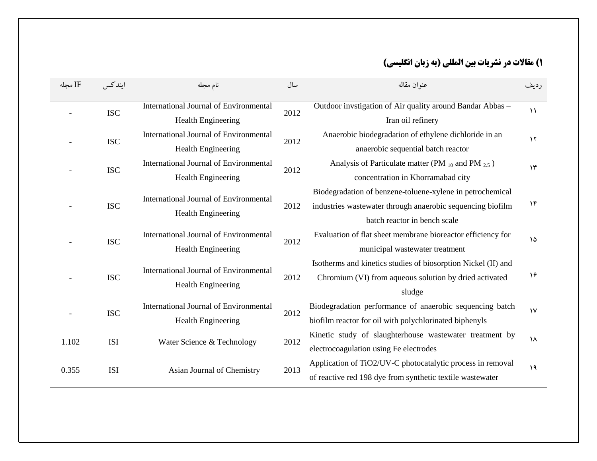## **1( مقاالت در وشزيات تيه المللي )تٍ ستان اوگليسي(**

| IF محله | ايندكس     | نام مجله                               |      | عنوان مقاله                                                   | رديف                   |
|---------|------------|----------------------------------------|------|---------------------------------------------------------------|------------------------|
|         |            | International Journal of Environmental |      | Outdoor invstigation of Air quality around Bandar Abbas -     | $\setminus$            |
|         | <b>ISC</b> | <b>Health Engineering</b>              | 2012 | Iran oil refinery                                             |                        |
|         | <b>ISC</b> | International Journal of Environmental | 2012 | Anaerobic biodegradation of ethylene dichloride in an         | $\gamma$               |
|         |            | <b>Health Engineering</b>              |      | anaerobic sequential batch reactor                            |                        |
|         | <b>ISC</b> | International Journal of Environmental | 2012 | Analysis of Particulate matter (PM $_{10}$ and PM $_{2.5}$ )  | $\gamma$               |
|         |            | <b>Health Engineering</b>              |      | concentration in Khorramabad city                             |                        |
|         |            | International Journal of Environmental |      | Biodegradation of benzene-toluene-xylene in petrochemical     |                        |
|         | <b>ISC</b> | <b>Health Engineering</b>              | 2012 | industries wastewater through anaerobic sequencing biofilm    | ۱۴                     |
|         |            |                                        |      | batch reactor in bench scale                                  |                        |
|         | <b>ISC</b> | International Journal of Environmental | 2012 | Evaluation of flat sheet membrane bioreactor efficiency for   | ۱۵                     |
|         |            | <b>Health Engineering</b>              |      | municipal wastewater treatment                                |                        |
|         |            | International Journal of Environmental |      | Isotherms and kinetics studies of biosorption Nickel (II) and |                        |
|         | <b>ISC</b> | <b>Health Engineering</b>              | 2012 | Chromium (VI) from aqueous solution by dried activated        | ۱۶                     |
|         |            |                                        |      | sludge                                                        |                        |
|         | <b>ISC</b> | International Journal of Environmental | 2012 | Biodegradation performance of anaerobic sequencing batch      | $\mathsf{V}\mathsf{V}$ |
|         |            | <b>Health Engineering</b>              |      | biofilm reactor for oil with polychlorinated biphenyls        |                        |
| 1.102   | <b>ISI</b> | Water Science & Technology             | 2012 | Kinetic study of slaughterhouse wastewater treatment by       | ١٨                     |
|         |            |                                        |      | electrocoagulation using Fe electrodes                        |                        |
| 0.355   | <b>ISI</b> | Asian Journal of Chemistry             | 2013 | Application of TiO2/UV-C photocatalytic process in removal    | ١٩                     |
|         |            |                                        |      | of reactive red 198 dye from synthetic textile wastewater     |                        |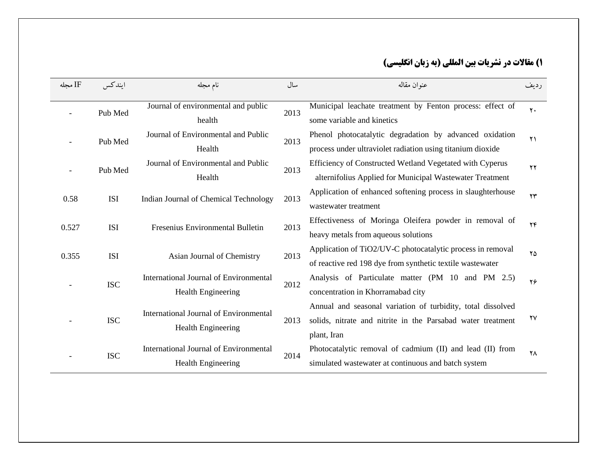## **1( مقاالت در وشزيات تيه المللي )تٍ ستان اوگليسي(**

| IF مجله | ابندكس     | نام مجله                                                            | سال  | عنوان مقاله                                                                                                                               | رديف                   |
|---------|------------|---------------------------------------------------------------------|------|-------------------------------------------------------------------------------------------------------------------------------------------|------------------------|
|         | Pub Med    | Journal of environmental and public<br>health                       | 2013 | Municipal leachate treatment by Fenton process: effect of<br>some variable and kinetics                                                   | $Y +$                  |
|         | Pub Med    | Journal of Environmental and Public<br>Health                       | 2013 | Phenol photocatalytic degradation by advanced oxidation<br>process under ultraviolet radiation using titanium dioxide                     | $\Upsilon$             |
|         | Pub Med    | Journal of Environmental and Public<br>Health                       | 2013 | Efficiency of Constructed Wetland Vegetated with Cyperus<br>alternifolius Applied for Municipal Wastewater Treatment                      | ۲۲                     |
| 0.58    | <b>ISI</b> | Indian Journal of Chemical Technology                               | 2013 | Application of enhanced softening process in slaughterhouse<br>wastewater treatment                                                       | $\mathbf{y}$           |
| 0.527   | <b>ISI</b> | Fresenius Environmental Bulletin                                    | 2013 | Effectiveness of Moringa Oleifera powder in removal of<br>heavy metals from aqueous solutions                                             | $\mathbf{Y}\mathbf{F}$ |
| 0.355   | <b>ISI</b> | Asian Journal of Chemistry                                          | 2013 | Application of TiO2/UV-C photocatalytic process in removal<br>of reactive red 198 dye from synthetic textile was tewater                  | ۲۵                     |
|         | <b>ISC</b> | International Journal of Environmental<br><b>Health Engineering</b> | 2012 | Analysis of Particulate matter (PM 10 and PM 2.5)<br>concentration in Khorramabad city                                                    | ۲۶                     |
|         | <b>ISC</b> | International Journal of Environmental<br><b>Health Engineering</b> | 2013 | Annual and seasonal variation of turbidity, total dissolved<br>solids, nitrate and nitrite in the Parsabad water treatment<br>plant, Iran | $\gamma\gamma$         |
|         | <b>ISC</b> | International Journal of Environmental<br><b>Health Engineering</b> | 2014 | Photocatalytic removal of cadmium (II) and lead (II) from<br>simulated wastewater at continuous and batch system                          | ۲Λ                     |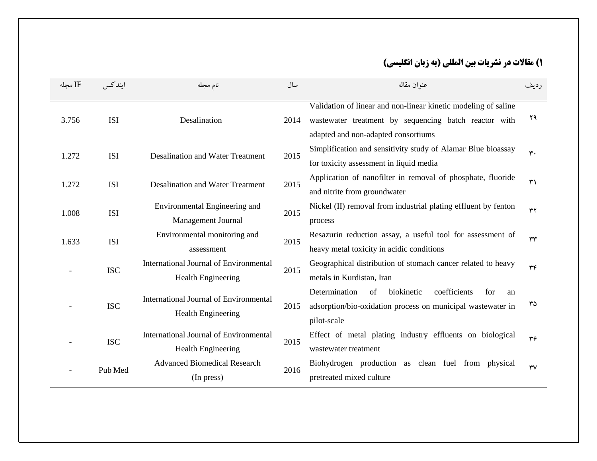| IF مجله | ابندكس     | نام مجله                                      | سال  | عنوان مقاله                                                                                                             | رديف           |
|---------|------------|-----------------------------------------------|------|-------------------------------------------------------------------------------------------------------------------------|----------------|
| 3.756   | <b>ISI</b> | Desalination                                  | 2014 | Validation of linear and non-linear kinetic modeling of saline<br>wastewater treatment by sequencing batch reactor with | ۲۹             |
|         |            |                                               |      | adapted and non-adapted consortiums                                                                                     |                |
| 1.272   | <b>ISI</b> | <b>Desalination and Water Treatment</b>       | 2015 | Simplification and sensitivity study of Alamar Blue bioassay                                                            | $\mathbf{r}$ . |
|         |            |                                               |      | for toxicity assessment in liquid media                                                                                 |                |
| 1.272   | <b>ISI</b> | <b>Desalination and Water Treatment</b>       | 2015 | Application of nanofilter in removal of phosphate, fluoride                                                             | ٣١             |
|         |            |                                               |      | and nitrite from groundwater                                                                                            |                |
| 1.008   | <b>ISI</b> | Environmental Engineering and                 | 2015 | Nickel (II) removal from industrial plating effluent by fenton                                                          | ٣٢             |
|         |            | <b>Management Journal</b>                     |      | process                                                                                                                 |                |
| 1.633   | <b>ISI</b> | Environmental monitoring and                  | 2015 | Resazurin reduction assay, a useful tool for assessment of                                                              | ٣٣             |
|         |            | assessment                                    |      | heavy metal toxicity in acidic conditions                                                                               |                |
|         | <b>ISC</b> | International Journal of Environmental        | 2015 | Geographical distribution of stomach cancer related to heavy                                                            | $\tau$         |
|         |            | <b>Health Engineering</b>                     |      | metals in Kurdistan, Iran                                                                                               |                |
|         |            | International Journal of Environmental        |      | Determination<br>coefficients<br>of<br>biokinetic<br>for<br>an                                                          |                |
|         | <b>ISC</b> | <b>Health Engineering</b>                     | 2015 | adsorption/bio-oxidation process on municipal wastewater in                                                             | ٣۵             |
|         |            |                                               |      | pilot-scale                                                                                                             |                |
|         | <b>ISC</b> | <b>International Journal of Environmental</b> | 2015 | Effect of metal plating industry effluents on biological                                                                | ٣۶             |
|         |            | <b>Health Engineering</b>                     |      | wastewater treatment                                                                                                    |                |
|         | Pub Med    | <b>Advanced Biomedical Research</b>           | 2016 | Biohydrogen production as clean fuel from physical                                                                      | $\mathsf{rv}$  |
|         | (In press) | pretreated mixed culture                      |      |                                                                                                                         |                |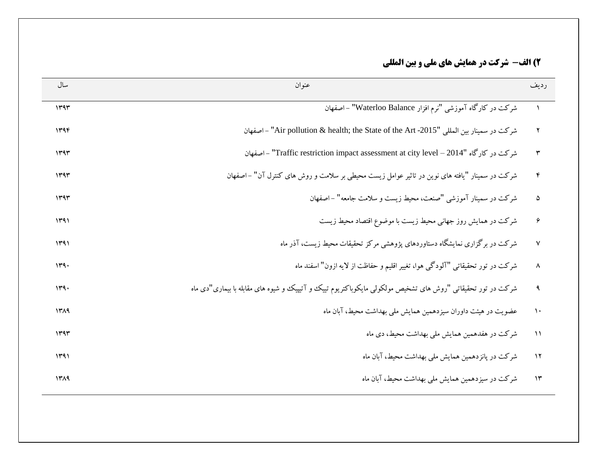| سال  | عنو ان                                                                                                     | رديف                  |
|------|------------------------------------------------------------------------------------------------------------|-----------------------|
| 1444 | شرکت در کارگاه آموزشی "نرم افزار Waterloo Balance" - اصفهان                                                |                       |
| ۱۳۹۴ | شركت در سمينار بين المللي "Air pollution & health; the State of the Art -2015" - اصفهان                    | $\mathbf{r}$          |
| ۱۳۹۳ | شركت در كارگاه "Traffic restriction impact assessment at city level - 2014" - اصفهان                       | $\mathbf{r}$          |
| ۱۳۹۳ | شرکت در سمینار "یافته های نوین در تاثیر عوامل زیست محیطی بر سلامت و روش های کنترل آن" –اصفهان              | $\mathbf{\hat{r}}$    |
| ۱۳۹۳ | شرکت در سمینار آموزشی "صنعت، محیط زیست و سلامت جامعه" – اصفهان                                             | ۵                     |
| ۱۳۹۱ | شرکت در همایش روز جهانی محیط زیست با موضوع اقتصاد محیط زیست                                                | ۶                     |
| ۱۳۹۱ | شرکت در برگزاری نمایشگاه دستاوردهای پژوهشی مرکز تحقیقات محیط زیست، آذر ماه                                 | $\mathsf{V}$          |
| 149. | شرکت در تور تحقیقاتی "آلودگی هوا، تغییر اقلیم و حفاظت از لایه ازون" اسفند ماه                              | $\boldsymbol{\wedge}$ |
| 149. | شرکت در تور تحقیقاتی "روش های تشخیص مولکولی مایکوباکتریوم تییک و آتیپیک و شیوه های مقابله با بیماری"دی ماه | $\mathbf{A}$          |
| ۱۳۸۹ | عضویت در هیئت داوران سبزدهمین همایش ملی بهداشت محیط، آبان ماه                                              | $\lambda$             |
| ۱۳۹۳ | شرکت در هفدهمین همایش ملی بهداشت محیط، دی ماه                                                              | $\lambda$             |
| ۱۳۹۱ | شرکت در یانز دهمین همایش ملی بهداشت محیط، آبان ماه                                                         | $\lambda$             |
| 1419 | شرکت در سبز دهمین همایش ملی بهداشت محبط، آبان ماه                                                          | $\gamma$              |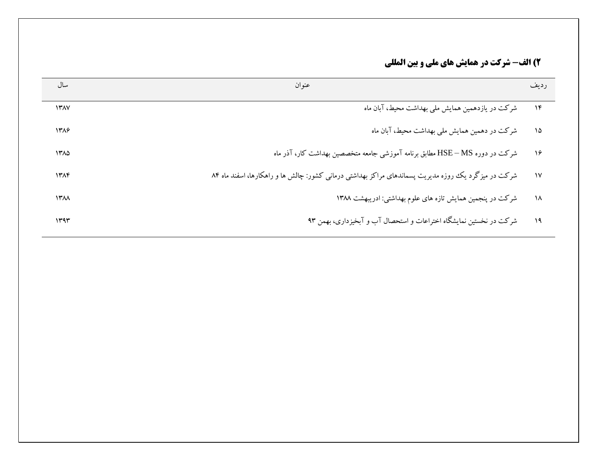## **2( الف- شزكت در َمايش َای ملي ي تيه المللي**

| سال         | عنوان                                                                                               | ر ديف         |
|-------------|-----------------------------------------------------------------------------------------------------|---------------|
| $Y^{\star}$ | شرکت در یازدهمین همایش ملی بهداشت محیط، آبان ماه                                                    | $\mathcal{N}$ |
| ۱۳۸۶        | شرکت در دهمین همایش ملی بهداشت محیط، آبان ماه                                                       | $\lambda$     |
| ۱۳۸۵        | شرکت در دوره HSE – MS مطابق برنامه آموزشی جامعه متخصصین بهداشت کار، آذر ماه                         | $\lambda$     |
| ۱۳۸۴        | شرکت در میزگرد یک روزه مدیریت پسماندهای مراکز بهداشتی درمانی کشور: چالش ها و راهکارها، اسفند ماه ۸۴ | $\mathcal{N}$ |
| ۱۳۸۸        | شرکت در پنجمین همایش تازه های علوم بهداشتی: ادریبهشت ۱۳۸۸                                           | $\lambda$     |
| ۱۳۹۳        | شرکت در نخستین نمایشگاه اختراعات و استحصال آب و آبخیزداری، بهمن ۹۳                                  | ۱۹            |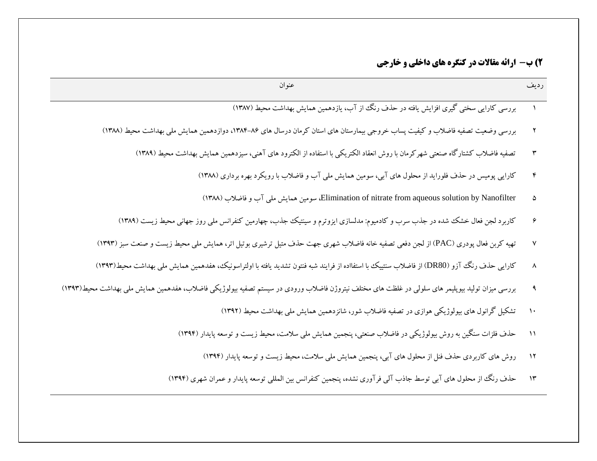| عنوان                                                                                                                                            | رديف        |
|--------------------------------------------------------------------------------------------------------------------------------------------------|-------------|
| بررسی کارایی سختی گیری افزایش یافته در حذف رنگ از آب، یازدهمین همایش بهداشت محیط (۱۳۸۷)                                                          |             |
| بررسی وضعیت تصفیه فاضلاب و کیفیت پساب خروجی بیمارستان های استان کرمان درسال های ۸۶–۱۳۸۴، دوازدهمین همایش ملی بهداشت محیط (۱۳۸۸)                  |             |
| تصفیه فاضلاب کشتارگاه صنعتی شهرکرمان با روش انعقاد الکتریکی با استفاده از الکترود های آهنی، سیزدهمین همایش بهداشت محیط (۱۳۸۹)                    |             |
| کارایی پومیس در حذف فلوراید از محلول های آبی، سومین همایش ملی آب و فاضلاب با رویکرد بهره برداری (۱۳۸۸)                                           |             |
| Elimination of nitrate from aqueous solution by Nanofilter، سومین همایش ملی آب و فاضلاب (۱۳۸۸)                                                   |             |
| کاربرد لجن فعال خشک شده در جذب سرب و کادمیوم: مدلسازی ایزوترم و سینتیک جذب، چهارمین کنفرانس ملی روز جهانی محیط زیست (۱۳۸۹)                       |             |
| تهیه کربن فعال پودری (PAC) از لجن دفعی تصفیه خانه فاضلاب شهری جهت حذف متیل ترشیری بوتیل اتر، همایش ملی محیط زیست و صنعت سبز (۱۳۹۳)               |             |
| كارايي حذف رنگ آزو (DR80) از فاضلاب سنتييك با استفااده از فرايند شبه فنتون تشديد يافته با اولتراسونيك، هفدهمين همايش ملي بهداشت محيط(۱۳۹۳)       |             |
| بررسی میزان تولید بیوپلیمر های سلولی در غلظت های مختلف نیتروژن فاضلاب ورودی در سیستم تصفیه بیولوژیکی فاضلاب، هفدهمین همایش ملی بهداشت محیط(۱۳۹۳) |             |
| تشکیل گرانول های بیولوژیکی هوازی در تصفیه فاضلاب شور، شانزدهمین همایش ملی بهداشت محیط (۱۳۹۲)                                                     |             |
| حذف فلزات سنگین به روش بیولوژیکی در فاضلاب صنعتی، پنجمین همایش ملی سلامت، محیط زیست و توسعه پایدار (۱۳۹۴)                                        | $\setminus$ |
| روش های کاربردی حذف فنل از محلول های آبی، پنجمین همایش ملی سلامت، محیط زیست و توسعه پایدار (۱۳۹۴)                                                | $\gamma$    |
| حذف رنگ از محلول های آبی توسط جاذب آلی فرآوری نشده، پنجمین کنفرانس بین المللی توسعه پایدار و عمران شهری (۱۳۹۴)                                   | ۱۳          |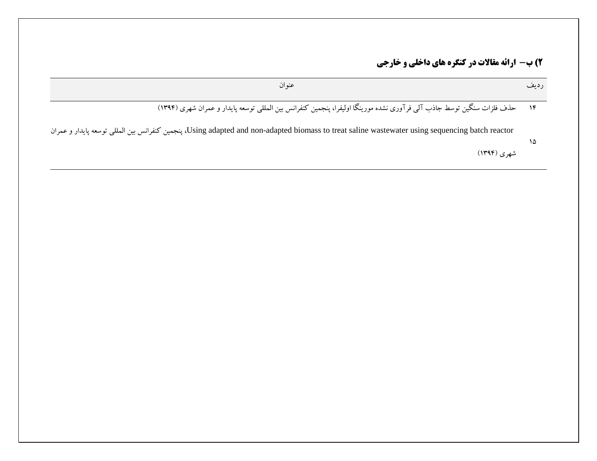| عنو ان                                                                                                                                          | ر دىف |
|-------------------------------------------------------------------------------------------------------------------------------------------------|-------|
| ۱۴ ـ حذف فلزات سنگین توسط جاذب آلبی فرآوری نشده مورینگا اولیفرا، پنجمین کنفرانس بین المللبی توسعه پایدار و عمران شهری (۱۳۹۴)                    |       |
| Using adapted and non-adapted biomass to treat saline wastewater using sequencing batch reactor، ينجمين كنفرانس بين المللي توسعه پايدار و عمران | ۱۵    |
| شهری (۱۳۹۴)                                                                                                                                     |       |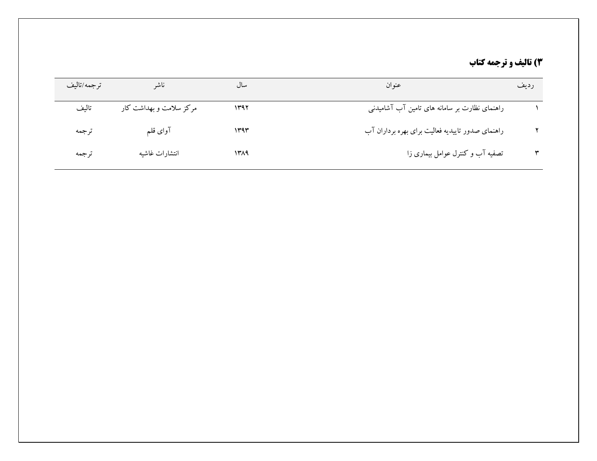# **3( تاليف ي تزجمٍ كتاب**

| ناشر                    | سال  | عنوان                                            | رديف |
|-------------------------|------|--------------------------------------------------|------|
| مرکز سلامت و بهداشت کار | ۱۳۹۲ | راهنمای نظارت بر سامانه های تامین آب آشامیدنی    |      |
| آواي قلم                | ۱۳۹۳ | راهنمای صدور تاییدیه فعالیت برای بهره برداران آب |      |
| انتشارات غاشيه          | ۱۳۸۹ | تصفیه آب و کنترل عوامل بیماری زا                 |      |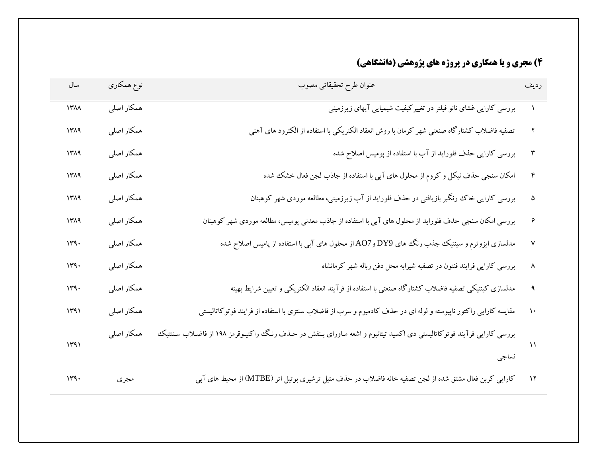# **4( مجزی ي يا َمكاری در پزيژٌ َای پژيَشي )داوشگاَي(**

| سال  | نوع همکاری | عنوان طرح تحقيقاتي مصوب                                                                                                  | رديف |
|------|------------|--------------------------------------------------------------------------------------------------------------------------|------|
| 14M  | همکار اصلی | بررسی کارایی غشای نانو فیلتر در تغییرکیفیت شیمیایی آبهای زیرزمینی                                                        |      |
| 1٣٨٩ | همکار اصلی | تصفیه فاضلاب کشتارگاه صنعتی شهر کرمان با روش انعقاد الکتریکی با استفاده از الکترود های آهنی                              |      |
| 1419 | همکار اصلی | بررسی کارایی حذف فلوراید از آب با استفاده از پومیس اصلاح شده                                                             |      |
| 1319 | همکار اصلی | امکان سنجی حذف نیکل و کروم از محلول های آبی با استفاده از جاذب لجن فعال خشک شده                                          |      |
| 1419 | همکار اصلی | بررسی کارایی خاک رنگبر بازیافتی در حذف فلوراید از آب زیرزمینی، مطالعه موردی شهر کوهبنان                                  |      |
| 1419 | همکار اصلی | بررسی امکان سنجی حذف فلوراید از محلول های آبی با استفاده از جاذب معدنی پومیس، مطالعه موردی شهر کوهبنان                   |      |
| 149. | همكار اصلى | مدلسازی ایزوترم و سینتیک جذب رنگ های DY9 وAO7 از محلول های آبی با استفاده از پامیس اصلاح شده                             |      |
| 149. | همکار اصلی | بررسی کارایی فرایند فنتون در تصفیه شیرابه محل دفن زباله شهر کرمانشاه                                                     |      |
| 149. | همكار اصلى | مدلسازی کینتیکی تصفیه فاضلاب کشتارگاه صنعتی با استفاده از فرآیند انعقاد الکتریکی و تعیین شرایط بهینه                     |      |
| 1491 | همکار اصلی | مقایسه کارایی راکتور ناپیوسته و لوله ای در حذف کادمیوم و سرب از فاضلاب سنتزی با استفاده از فرایند فوتوکاتالیستی          |      |
| 1491 | همكار اصلى | بررسی کارایی فرآیند فوتوکاتالیستی دی اکسید تیتانیوم و اشعه مـاورای بـنفش در حـذف رنـگ راکتیـوقرمز ۱۹۸ از فاضـلاب سـنتتیک |      |
|      |            | نساجى                                                                                                                    |      |
| 149. | مجرى       | کارایی کربن فعال مشتق شده از لجن تصفیه خانه فاضلاب در حذف متیل ترشیری بوتیل اتر (MTBE) از محیط های آبی                   |      |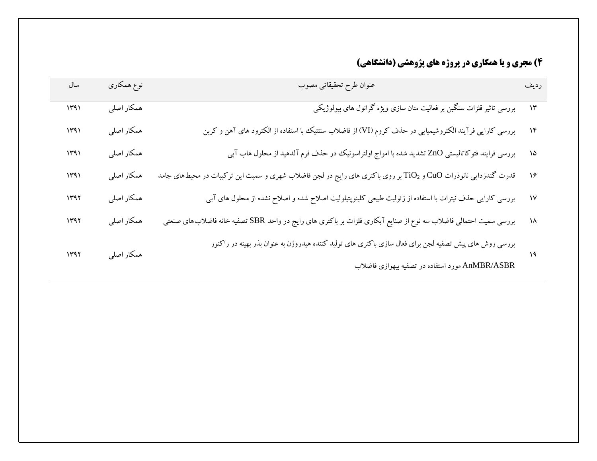# **4( مجزی ي يا َمكاری در پزيژٌ َای پژيَشي )داوشگاَي(**

| سال  | نوع همکاری | عنوان طرح تحقيقاتي مصوب                                                                                                    | رديف         |
|------|------------|----------------------------------------------------------------------------------------------------------------------------|--------------|
| 1491 | همكار اصلى | بررسی تاثیر قلزات سنگین بر فعالیت متان سازی ویژه گرانول های بیولوژیکی                                                      | ۱۳           |
| 1491 | همكار اصلى | بررسی کارایی فرآیند الکتروشیمیایی در حذف کروم (VI) از فاضلاب سنتتیک با استفاده از الکترود های آهن و کربن                   | $\gamma$     |
| 1491 | همكار اصلى | بررسی فرایند فتوکاتالیستی ZnO تشدید شده با امواج اولتراسونیک در حذف فرم آلدهید از محلول هاب آبی                            | ۱۵           |
| 1491 | همكار اصلى | قدرت گندزدایی نانوذرات CuO و TiO <sub>2</sub> بر روی باکتری های رایج در لجن فاضلاب شهری و سمیت این ترکیبات در محیطهای جامد | ۱۶           |
| 1141 | همكار اصلى | بررسی کارایی حذف نیترات با استفاده از زئولیت طبیعی کلینوپتیلولیت اصلاح شده و اصلاح نشده از محلول های آبی                   | $\mathsf{N}$ |
| 1141 | همكار اصلى | بررسی سمیت احتمالی فاضلاب سه نوع از صنایع آبکاری فلزات بر باکتری های رایج در واحد SBR تصفیه خانه فاضلاب های صنعتی          | ۱۸           |
| 1497 | همكار اصلى | بررسی روش های پیش تصفیه لجن برای فعال سازی باکتری های تولید کننده هیدروژن به عنوان بذر بهینه در راکتور                     | ۱۹           |
|      |            | AnMBR/ASBR مورد استفاده در تصفیه بیهوازی فاضلاب                                                                            |              |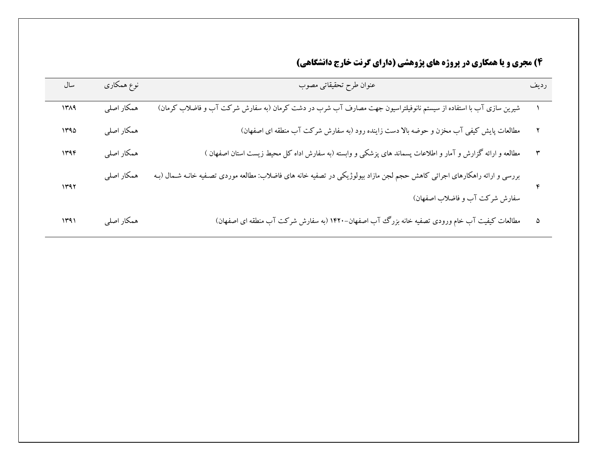# **4( مجزی ي يا َمكاری در پزيژٌ َای پژيَشي )دارای گزوت خارج داوشگاَي(**

| سال  | نوع همکاری | عنوان طرح تحقيقاتي مصوب                                                                                                    | رديف |
|------|------------|----------------------------------------------------------------------------------------------------------------------------|------|
| ۱۳۸۹ | همكار اصلى | شیرین سازی آب با استفاده از سیستم نانوفیلتراسیون جهت مصارف آب شرب در دشت کرمان (به سفارش شرکت آب و فاضلاب کرمان)           |      |
| 140  | همكار اصلى | مطالعات پایش کیفی آب مخزن و حوضه بالا دست زاینده رود (به سفارش شرکت آب منطقه ای اصفهان)                                    |      |
| 1446 | همكار اصلى | مطالعه و ارائه گزارش و آمار و اطلاعات پسماند های پزشکی و وابسته (به سفارش اداه کل محیط زیست استان اصفهان )                 |      |
| 1497 | همكار اصلى | بررسی و ارائه راهکارهای اجرائی کاهش حجم لجن مازاد بیولوژیکی در تصفیه خانه های فاضلاب: مطالعه موردی تصـفیه خانـه شـمال (بـه |      |
|      |            | سفارش شرکت آب و فاضلاب اصفهان)                                                                                             |      |
| ۱۳۹۱ | همكار اصلى | مطالعات کیفیت آب خام ورودی تصفیه خانه بزرگ آب اصفهان–۱۴۲۰ (به سفارش شرکت آب منطقه ای اصفهان)                               |      |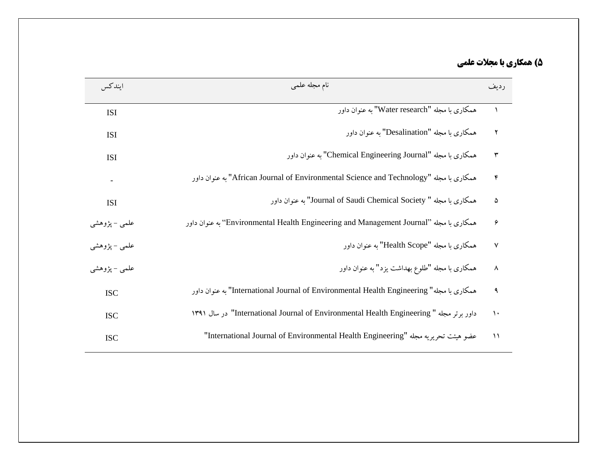# **5( َمكاری تا مجالت علمي**

| ايندكس        | نام مجله علمی                                                                            | ر دیف         |
|---------------|------------------------------------------------------------------------------------------|---------------|
| <b>ISI</b>    | همکاری یا مجله "Water research" به عنوان داور                                            | $\lambda$     |
| <b>ISI</b>    | همکاری یا مجله "Desalination" به عنوان داور                                              | ۲             |
| <b>ISI</b>    | همکاري با مجله "Chemical Engineering Journal" به عنوان داور                              | ٣             |
|               | همكاري با مجله "African Journal of Environmental Science and Technology" به عنوان داور   | $\mathbf{r}$  |
| <b>ISI</b>    | همکاري با مجله " Journal of Saudi Chemical Society" به عنوان داور                        | ۵             |
| علمي – پژوهشي | همكاري با مجله "Environmental Health Engineering and Management Journal" به عنوان داور   | ۶             |
| علمي – پژوهشي | همکاری یا مجله "Health Scope" به عنوان داور                                              | $\mathsf{v}$  |
| علمي - پژوهشي | همکاری با مجله "طلوع بهداشت یزد" به عنوان داور                                           | ٨             |
| <b>ISC</b>    | همكاري با مجله" International Journal of Environmental Health Engineering" به عنوان داور | ٩             |
| <b>ISC</b>    | داور برتر مجله "International Journal of Environmental Health Engineering" در سال ۱۳۹۱   | $\mathcal{L}$ |
| <b>ISC</b>    | عضو هيئت تحريريه مجله "International Journal of Environmental Health Engineering"        | $\lambda$     |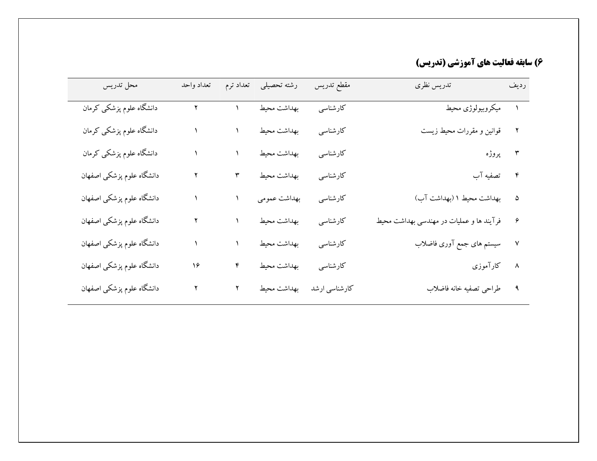## **6( ساتقٍ فعاليت َای آمًسشي )تذريس(**

| محل تدريس                 | تعداد واحد |               | رشته تحصیلی تعداد ترم    | مقطع تدريس | تدريس نظري<br>رديف ڪ                     |  |
|---------------------------|------------|---------------|--------------------------|------------|------------------------------------------|--|
| دانشگاه علوم پزشکی کرمان  |            |               | بهداشت محيط              | کارشناسی   | ۱ میکروبیولوژی محیط                      |  |
| دانشگاه علوم پزشکی کرمان  |            |               | بهداشت محيط              | كارشناسى   | قوانین و مقررات محیط زیست                |  |
| دانشگاه علوم پزشکی کرمان  |            |               | بهداشت محيط              | كارشناسي   | ۳ پروژه                                  |  |
| دانشگاه علوم پزشکی اصفهان |            | $\pmb{\upmu}$ | بهداشت محيط              | كارشناسي   | ۴ تصفیه آب                               |  |
| دانشگاه علوم پزشکی اصفهان |            |               | بهداشت عمومي             | كارشناسي   | ۵ بهداشت محیط ۱ (بهداشت آب)              |  |
| دانشگاه علوم پزشکی اصفهان |            |               | بهداشت محيط              | كارشناسى   | فرآیند ها و عملیات در مهندسی بهداشت محیط |  |
| دانشگاه علوم پزشکی اصفهان |            |               | بهداشت محيط              | كارشناسي   | سیستم های جمع آوری فاضلاب                |  |
| دانشگاه علوم پزشکی اصفهان | ۱۶         | ۴             | بهداشت محيط              | كارشناسي   | كارآموزى                                 |  |
| دانشگاه علوم پزشکی اصفهان |            |               | کارشناسی ارشد معبطی محیط |            | ۹ طراحی تصفیه خانه فاضلاب                |  |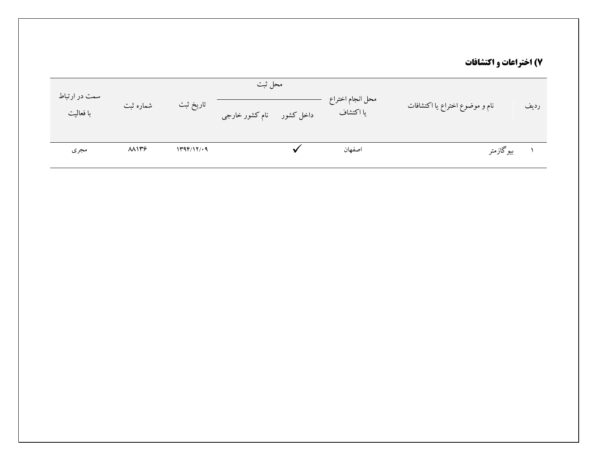## **7( اختزاعات ي اكتشافات**

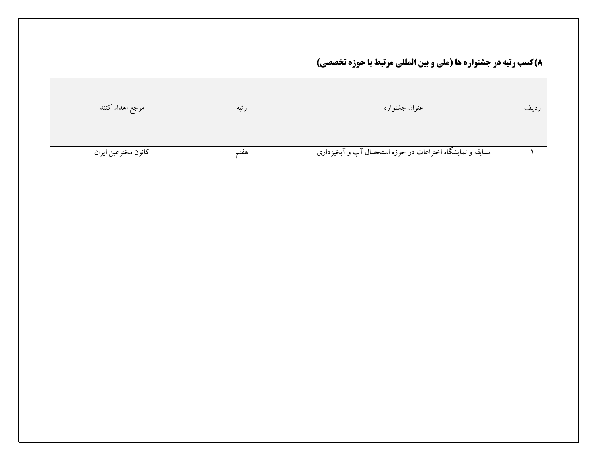**8)كسب رتبه در جشنواره ها (ملي و بين المللي مرتبط با حوزه تخصصي)** 

| مرجع اهداء كنند     | رتبه | عنوان جشنواره                                             | رديف |
|---------------------|------|-----------------------------------------------------------|------|
| كانون مخترعين ايران | هقتم | مسابقه و نمایشگاه اختراعات در حوزه استحصال آب و آبخیزداری |      |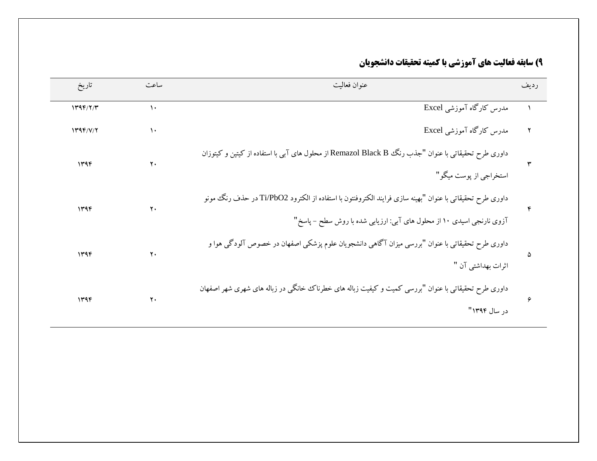## **9) سابقه فعاليت هاي آموزشي با كميته تحقيقات دانشجويان**

| تاريخ    | ساعت           | عنوان فعاليت                                                                                             | رديف |
|----------|----------------|----------------------------------------------------------------------------------------------------------|------|
| 1499/7/7 | $\mathcal{L}$  | مدرس کارگاه آموزشی Excel                                                                                 |      |
| 1499/Y/Y | ١٠             | مدرس کارگاه آموزشی Excel                                                                                 |      |
| ۱۳۹۴     | ٢.             | داوری طرح تحقیقاتی با عنوان "جذب رنگ Remazol Black B از محلول های آبی با استفاده از کیتین و کیتوزان      |      |
|          |                | استخراجي از پوست ميگو "                                                                                  |      |
| 1496     | $\mathbf{y}$ . | داوری طرح تحقیقاتی با عنوان "بهینه سازی فرایند الکتروفنتون با استفاده از الکترود Ti/PbO2 در حذف رنگ مونو |      |
|          |                | آزوی نارنجی اسیدی ۱۰ از محلول های آبی: ارزیابی شده با روش سطح – پاسخ"                                    |      |
| ۱۳۹۴     | ٢.             | داوری طرح تحقیقاتی با عنوان "بررسی میزان آگاهی دانشجویان علوم پزشکی اصفهان در خصوص آلودگی هوا و          | ۵    |
|          |                | اثرات بهداشتي آن "                                                                                       |      |
| ۱۳۹۴     | ٢.             | داوری طرح تحقیقاتی با عنوان "بررسی کمیت و کیفیت زباله های خطرناک خانگی در زباله های شهری شهر اصفهان      | ۶    |
|          |                | در سال ۱۳۹۴"                                                                                             |      |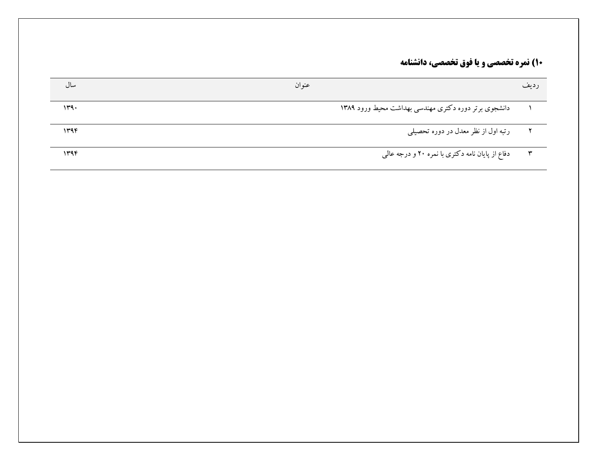# **10) نمره تخصصي و يا فوق تخصصي، دانشنامه**

| سال  | عنوان                                                | رديف         |
|------|------------------------------------------------------|--------------|
| 149. | دانشجوی برتر دوره دکتری مهندسی بهداشت محیط ورود ۱۳۸۹ |              |
| ۱۳۹۴ | رتبه اول از نظر معدل در دوره تحصیلی                  |              |
| ۱۳۹۴ | دفاع از پایان نامه دکتری با نمره ۲۰ و درجه عالمی     | $\mathbf{r}$ |